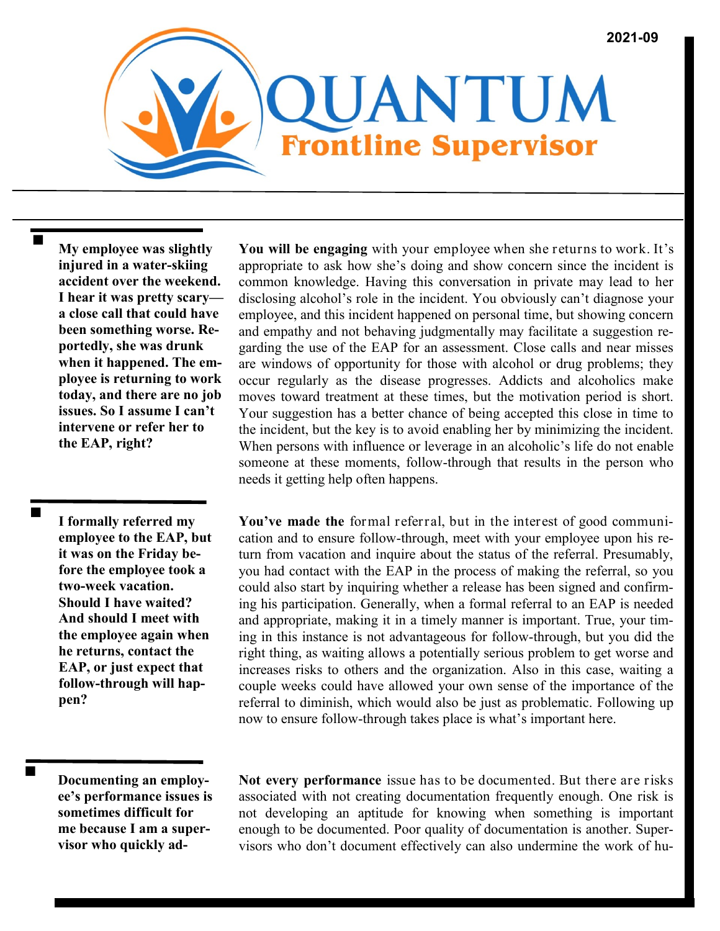

**My employee was slightly injured in a water-skiing accident over the weekend. I hear it was pretty scary a close call that could have been something worse. Reportedly, she was drunk when it happened. The employee is returning to work today, and there are no job issues. So I assume I can't intervene or refer her to the EAP, right?**

**I formally referred my employee to the EAP, but it was on the Friday before the employee took a two-week vacation. Should I have waited? And should I meet with the employee again when he returns, contact the EAP, or just expect that follow-through will happen?**

■

**You will be engaging** with your employee when she returns to work. It's appropriate to ask how she's doing and show concern since the incident is common knowledge. Having this conversation in private may lead to her disclosing alcohol's role in the incident. You obviously can't diagnose your employee, and this incident happened on personal time, but showing concern and empathy and not behaving judgmentally may facilitate a suggestion regarding the use of the EAP for an assessment. Close calls and near misses are windows of opportunity for those with alcohol or drug problems; they occur regularly as the disease progresses. Addicts and alcoholics make moves toward treatment at these times, but the motivation period is short. Your suggestion has a better chance of being accepted this close in time to the incident, but the key is to avoid enabling her by minimizing the incident. When persons with influence or leverage in an alcoholic's life do not enable someone at these moments, follow-through that results in the person who needs it getting help often happens.

**You've made the** formal referral, but in the interest of good communication and to ensure follow-through, meet with your employee upon his return from vacation and inquire about the status of the referral. Presumably, you had contact with the EAP in the process of making the referral, so you could also start by inquiring whether a release has been signed and confirming his participation. Generally, when a formal referral to an EAP is needed and appropriate, making it in a timely manner is important. True, your timing in this instance is not advantageous for follow-through, but you did the right thing, as waiting allows a potentially serious problem to get worse and increases risks to others and the organization. Also in this case, waiting a couple weeks could have allowed your own sense of the importance of the referral to diminish, which would also be just as problematic. Following up now to ensure follow-through takes place is what's important here.

**Documenting an employee's performance issues is sometimes difficult for me because I am a supervisor who quickly ad-** **Not every performance** issue has to be documented. But there are risks associated with not creating documentation frequently enough. One risk is not developing an aptitude for knowing when something is important enough to be documented. Poor quality of documentation is another. Supervisors who don't document effectively can also undermine the work of hu